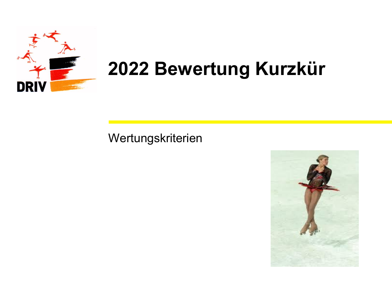

# **2022 Bewertung Kurzkür**

### Wertungskriterien

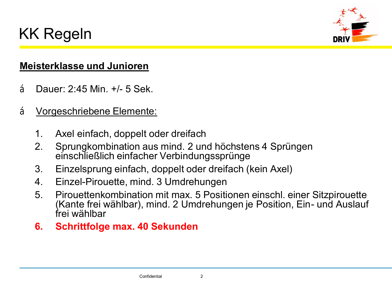## KK Regeln



### **Meisterklasse und Junioren**

- Dauer: 2:45 Min. +/- 5 Sek.
- Vorgeschriebene Elemente:
	- 1. Axel einfach, doppelt oder dreifach
	- 2. Sprungkombination aus mind. 2 und höchstens 4 Sprüngen einschließlich einfacher Verbindungssprünge
	- 3. Einzelsprung einfach, doppelt oder dreifach (kein Axel)
	- 4. Einzel-Pirouette, mind. 3 Umdrehungen
	- 5. Pirouettenkombination mit max. 5 Positionen einschl. einer Sitzpirouette (Kante frei wählbar), mind. 2 Umdrehungen je Position, Ein- und Auslauf frei wählbar
	- **6. Schrittfolge max. 40 Sekunden**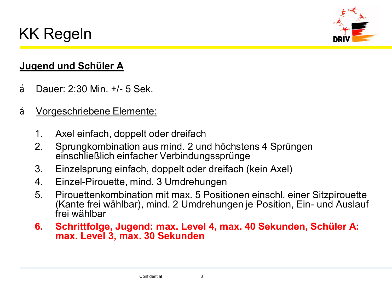



### **Jugend und Schüler A**

- Dauer: 2:30 Min. +/- 5 Sek.
- Vorgeschriebene Elemente:
	- 1. Axel einfach, doppelt oder dreifach
	- 2. Sprungkombination aus mind. 2 und höchstens 4 Sprüngen einschließlich einfacher Verbindungssprünge
	- 3. Einzelsprung einfach, doppelt oder dreifach (kein Axel)
	- 4. Einzel-Pirouette, mind. 3 Umdrehungen
	- 5. Pirouettenkombination mit max. 5 Positionen einschl. einer Sitzpirouette (Kante frei wählbar), mind. 2 Umdrehungen je Position, Ein- und Auslauf frei wählbar
	- **6. Schrittfolge, Jugend: max. Level 4, max. 40 Sekunden, Schüler A: max. Level 3, max. 30 Sekunden**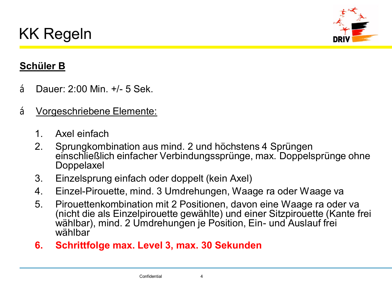



### **Schüler B**

- Dauer: 2:00 Min. +/- 5 Sek.
- Vorgeschriebene Elemente:
	- 1. Axel einfach
	- 2. Sprungkombination aus mind. 2 und höchstens 4 Sprüngen einschließlich einfacher Verbindungssprünge, max. Doppelsprünge ohne Doppelaxel
	- 3. Einzelsprung einfach oder doppelt (kein Axel)
	- 4. Einzel-Pirouette, mind. 3 Umdrehungen, Waage ra oder Waage va
	- 5. Pirouettenkombination mit 2 Positionen, davon eine Waage ra oder va (nicht die als Einzelpirouette gewählte) und einer Sitzpirouette (Kante frei wählbar), mind. 2 Umdrehungen je Position, Ein- und Auslauf frei wählbar
	- **6. Schrittfolge max. Level 3, max. 30 Sekunden**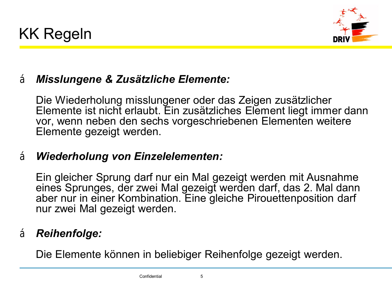



### • *Misslungene & Zusätzliche Elemente:*

Die Wiederholung misslungener oder das Zeigen zusätzlicher Elemente ist nicht erlaubt. Ein zusätzliches Element liegt immer dann vor, wenn neben den sechs vorgeschriebenen Elementen weitere Elemente gezeigt werden.

### • *Wiederholung von Einzelelementen:*

Ein gleicher Sprung darf nur ein Mal gezeigt werden mit Ausnahme eines Sprunges, der zwei Mal gezeigt werden darf, das 2. Mal dann aber nur in einer Kombination. Eine gleiche Pirouettenposition darf nur zwei Mal gezeigt werden.

### • *Reihenfolge:*

Die Elemente können in beliebiger Reihenfolge gezeigt werden.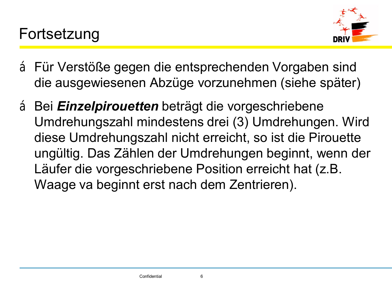

- •Für Verstöße gegen die entsprechenden Vorgaben sind die ausgewiesenen Abzüge vorzunehmen (siehe später)
- •Bei *Einzelpirouetten* beträgt die vorgeschriebene Umdrehungszahl mindestens drei (3) Umdrehungen. Wird diese Umdrehungszahl nicht erreicht, so ist die Pirouette ungültig. Das Zählen der Umdrehungen beginnt, wenn der Läufer die vorgeschriebene Position erreicht hat (z.B. Waage va beginnt erst nach dem Zentrieren).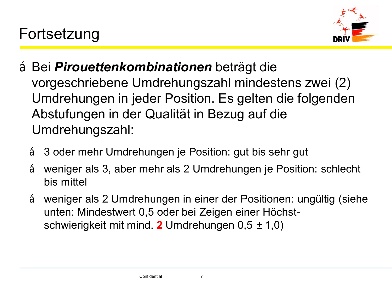

- •Bei *Pirouettenkombinationen* beträgt die vorgeschriebene Umdrehungszahl mindestens zwei (2) Umdrehungen in jeder Position. Es gelten die folgenden Abstufungen in der Qualität in Bezug auf die Umdrehungszahl:
	- 3 oder mehr Umdrehungen je Position: gut bis sehr gut
	- weniger als 3, aber mehr als 2 Umdrehungen je Position: schlecht bis mittel
	- weniger als 2 Umdrehungen in einer der Positionen: ungültig (siehe unten: Mindestwert 0,5 oder bei Zeigen einer Höchstschwierigkeit mit mind. **2** Umdrehungen 0,5 –1,0)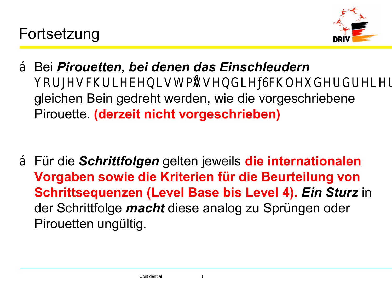

•Bei *Pirouetten, bei denen das Einschleudern* vorgeschrieben ist, müssen gleichen Bein gedreht werden, wie die vorgeschriebene Pirouette. **(derzeit nicht vorgeschrieben)**

•Für die *Schrittfolgen* gelten jeweils **die internationalen Vorgaben sowie die Kriterien für die Beurteilung von Schrittsequenzen (Level Base bis Level 4).** *Ein Sturz* in der Schrittfolge *macht* diese analog zu Sprüngen oder Pirouetten ungültig.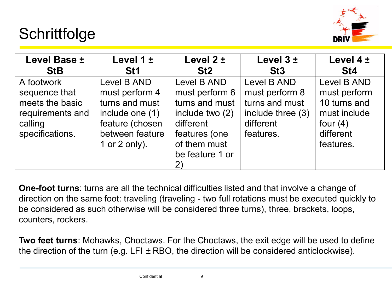### **Schrittfolge**



| Level Base -                                                                                     | Level $1 -$                                                                                                               | Level $2 -$                                                                                                                               | Level 3-                                                                                       | Level $4 -$                                                                                         |
|--------------------------------------------------------------------------------------------------|---------------------------------------------------------------------------------------------------------------------------|-------------------------------------------------------------------------------------------------------------------------------------------|------------------------------------------------------------------------------------------------|-----------------------------------------------------------------------------------------------------|
| <b>StB</b>                                                                                       | <b>St1</b>                                                                                                                | St <sub>2</sub>                                                                                                                           | St <sub>3</sub>                                                                                | St <sub>4</sub>                                                                                     |
| A footwork<br>sequence that<br>meets the basic<br>requirements and<br>calling<br>specifications. | Level B AND<br>must perform 4<br>turns and must<br>include one (1)<br>feature (chosen<br>between feature<br>1 or 2 only). | Level B AND<br>must perform 6<br>turns and must<br>include two (2)<br>different<br>features (one<br>of them must<br>be feature 1 or<br>2) | Level B AND<br>must perform 8<br>turns and must<br>include three (3)<br>different<br>features. | Level B AND<br>must perform<br>10 turns and<br>must include<br>four $(4)$<br>different<br>features. |

**One-foot turns**: turns are all the technical difficulties listed and that involve a change of direction on the same foot: traveling (traveling - two full rotations must be executed quickly to be considered as such otherwise will be considered three turns), three, brackets, loops, counters, rockers.

**Two feet turns**: Mohawks, Choctaws. For the Choctaws, the exit edge will be used to define the direction of the turn (e.g.  $LFI - RBO$ , the direction will be considered anticlockwise).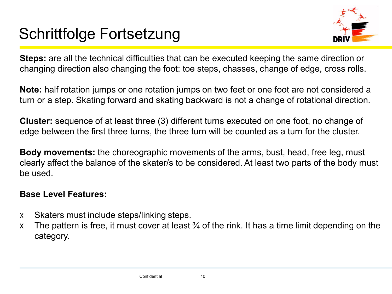# Schrittfolge Fortsetzung



**Steps:** are all the technical difficulties that can be executed keeping the same direction or changing direction also changing the foot: toe steps, chasses, change of edge, cross rolls.

**Note:** half rotation jumps or one rotation jumps on two feet or one foot are not considered a turn or a step. Skating forward and skating backward is not a change of rotational direction.

**Cluster:** sequence of at least three (3) different turns executed on one foot, no change of edge between the first three turns, the three turn will be counted as a turn for the cluster.

**Body movements:** the choreographic movements of the arms, bust, head, free leg, must clearly affect the balance of the skater/s to be considered. At least two parts of the body must be used.

### **Base Level Features:**

- Skaters must include steps/linking steps.
- The pattern is free, it must cover at least  $\frac{3}{4}$  of the rink. It has a time limit depending on the category.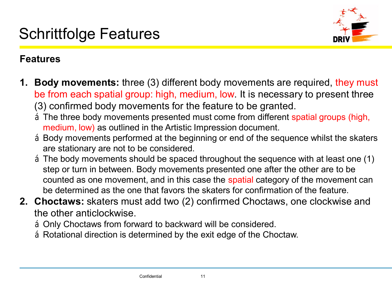

### **Features**

- **1. Body movements:** three (3) different body movements are required, they must be from each spatial group: high, medium, low. It is necessary to present three (3) confirmed body movements for the feature to be granted.
	- The three body movements presented must come from different spatial groups (high, medium, low) as outlined in the Artistic Impression document.
	- •Body movements performed at the beginning or end of the sequence whilst the skaters are stationary are not to be considered.
	- •The body movements should be spaced throughout the sequence with at least one (1) step or turn in between. Body movements presented one after the other are to be counted as one movement, and in this case the spatial category of the movement can be determined as the one that favors the skaters for confirmation of the feature.
- **2. Choctaws:** skaters must add two (2) confirmed Choctaws, one clockwise and the other anticlockwise.
	- •Only Choctaws from forward to backward will be considered.
	- Rotational direction is determined by the exit edge of the Choctaw.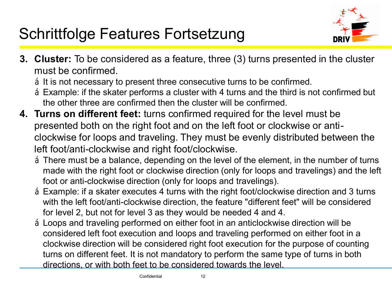# Schrittfolge Features Fortsetzung



- **3. Cluster:** To be considered as a feature, three (3) turns presented in the cluster must be confirmed.
	- It is not necessary to present three consecutive turns to be confirmed.
	- •Example: if the skater performs a cluster with 4 turns and the third is not confirmed but the other three are confirmed then the cluster will be confirmed.
- **4. Turns on different feet:** turns confirmed required for the level must be presented both on the right foot and on the left foot or clockwise or anticlockwise for loops and traveling. They must be evenly distributed between the left foot/anti-clockwise and right foot/clockwise.
	- •There must be a balance, depending on the level of the element, in the number of turns made with the right foot or clockwise direction (only for loops and travelings) and the left foot or anti-clockwise direction (only for loops and travelings).
	- •Example: if a skater executes 4 turns with the right foot/clockwise direction and 3 turns with the left foot/anti-clockwise direction, the feature "different feet" will be considered for level 2, but not for level 3 as they would be needed 4 and 4.
	- •Loops and traveling performed on either foot in an anticlockwise direction will be considered left foot execution and loops and traveling performed on either foot in a clockwise direction will be considered right foot execution for the purpose of counting turns on different feet. It is not mandatory to perform the same type of turns in both directions, or with both feet to be considered towards the level.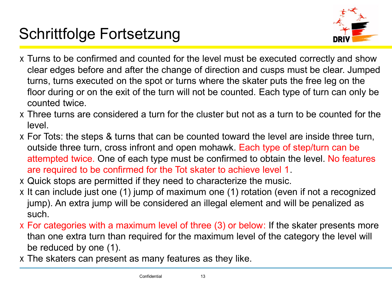# Schrittfolge Fortsetzung



- •Turns to be confirmed and counted for the level must be executed correctly and show clear edges before and after the change of direction and cusps must be clear. Jumped turns, turns executed on the spot or turns where the skater puts the free leg on the floor during or on the exit of the turn will not be counted. Each type of turn can only be counted twice.
- •Three turns are considered a turn for the cluster but not as a turn to be counted for the level.
- •For Tots: the steps & turns that can be counted toward the level are inside three turn, outside three turn, cross infront and open mohawk. Each type of step/turn can be attempted twice. One of each type must be confirmed to obtain the level. No features are required to be confirmed for the Tot skater to achieve level 1.
- •Quick stops are permitted if they need to characterize the music.
- It can include just one (1) jump of maximum one (1) rotation (even if not a recognized jump). An extra jump will be considered an illegal element and will be penalized as such.
- •For categories with a maximum level of three (3) or below: If the skater presents more than one extra turn than required for the maximum level of the category the level will be reduced by one (1).
- •The skaters can present as many features as they like.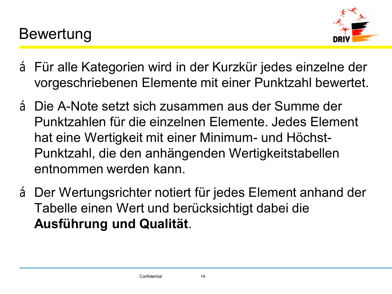

- •Für alle Kategorien wird in der Kurzkür jedes einzelne der vorgeschriebenen Elemente mit einer Punktzahl bewertet.
- •Die A-Note setzt sich zusammen aus der Summe der Punktzahlen für die einzelnen Elemente. Jedes Element hat eine Wertigkeit mit einer Minimum- und Höchst-Punktzahl, die den anhängenden Wertigkeitstabellen entnommen werden kann.
- •Der Wertungsrichter notiert für jedes Element anhand der Tabelle einen Wert und berücksichtigt dabei die **Ausführung und Qualität**.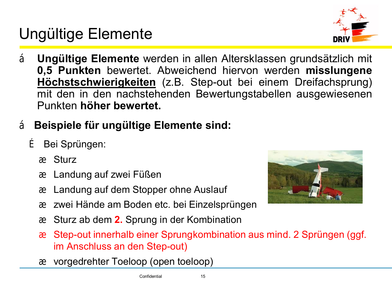Ungültige Elemente

- **Ungültige Elemente** werden in allen Altersklassen grundsätzlich mit **0,5 Punkten** bewertet. Abweichend hiervon werden **misslungene Höchstschwierigkeiten** (z.B. Step-out bei einem Dreifachsprung) mit den in den nachstehenden Bewertungstabellen ausgewiesenen Punkten **höher bewertet.**
- **Beispiele für ungültige Elemente sind:**

Bei Sprüngen:

**Sturz** 

Landung auf zwei Füßen

Landung auf dem Stopper ohne Auslauf

zwei Hände am Boden etc. bei Einzelsprüngen

Sturz ab dem **2.** Sprung in der Kombination

Step-out innerhalb einer Sprungkombination aus mind. 2 Sprüngen (ggf. im Anschluss an den Step-out)

vorgedrehter Toeloop (open toeloop)



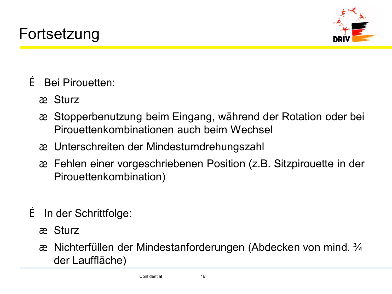

Bei Pirouetten:

**Sturz** 

Stopperbenutzung beim Eingang, während der Rotation oder bei Pirouettenkombinationen auch beim Wechsel

Unterschreiten der Mindestumdrehungszahl

Fehlen einer vorgeschriebenen Position (z.B. Sitzpirouette in der Pirouettenkombination)

In der Schrittfolge:

**Sturz** 

Nichterfüllen der Mindestanforderungen (Abdecken von mind. ¾ der Lauffläche)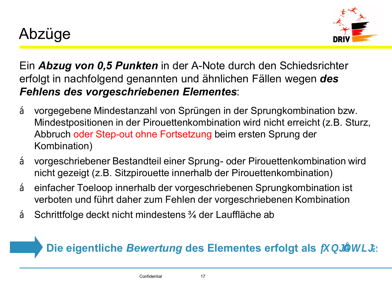

Ein *Abzug von 0,5 Punkten* in der A-Note durch den Schiedsrichter erfolgt in nachfolgend genannten und ähnlichen Fällen wegen *des Fehlens des vorgeschriebenen Elementes*:

- vorgegebene Mindestanzahl von Sprüngen in der Sprungkombination bzw. Mindestpositionen in der Pirouettenkombination wird nicht erreicht (z.B. Sturz, Abbruch oder Step-out ohne Fortsetzung beim ersten Sprung der Kombination)
- vorgeschriebener Bestandteil einer Sprung- oder Pirouettenkombination wird nicht gezeigt (z.B. Sitzpirouette innerhalb der Pirouettenkombination)
- einfacher Toeloop innerhalb der vorgeschriebenen Sprungkombination ist verboten und führt daher zum Fehlen der vorgeschriebenen Kombination
- Schrittfolge deckt nicht mindestens ¼ der Lauffläche ab

### **Die eigentliche Bewertung des Elementes erfolgt als**  $\mathbb{R}$  ungült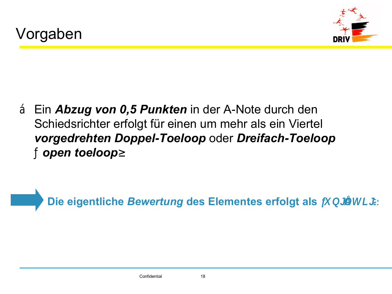

• Ein *Abzug von 0,5 Punkten* in der A-Note durch den Schiedsrichter erfolgt für einen um mehr als ein Viertel *vorgedrehten Doppel-Toeloop* oder *Dreifach-Toeloop* ("*open toeloop*")

**Die eigentliche Bewertung des Elementes erfolgt als** "ungüitt

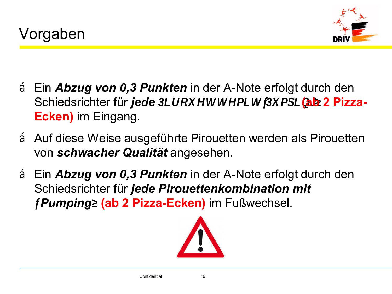

- Ein *Abzug von 0,3 Punkten* in der A-Note erfolgt durch den Schiedsrichter für *jede* Pirouette mi (ab 2 Pizzampi **Ecken)** im Eingang.
- Auf diese Weise ausgeführte Pirouetten werden als Pirouetten von *schwacher Qualität* angesehen.
- Ein *Abzug von 0,3 Punkten* in der A-Note erfolgt durch den Schiedsrichter für *jede Pirouettenkombination mit*  "*Pumping*"**(ab 2 Pizza-Ecken)** im Fußwechsel.

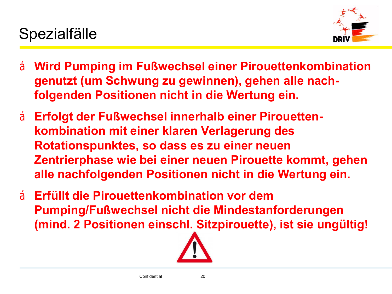

- **Wird Pumping im Fußwechsel einer Pirouettenkombination genutzt (um Schwung zu gewinnen), gehen alle nachfolgenden Positionen nicht in die Wertung ein.**
- **Erfolgt der Fußwechsel innerhalb einer Pirouettenkombination mit einer klaren Verlagerung des Rotationspunktes, so dass es zu einer neuen Zentrierphase wie bei einer neuen Pirouette kommt, gehen alle nachfolgenden Positionen nicht in die Wertung ein.**
- **Erfüllt die Pirouettenkombination vor dem Pumping/Fußwechsel nicht die Mindestanforderungen (mind. 2 Positionen einschl. Sitzpirouette), ist sie ungültig!**

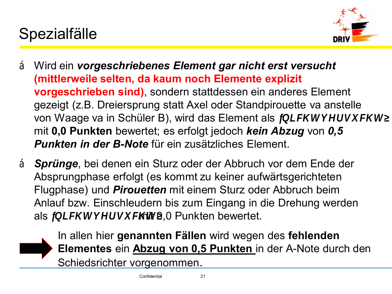# Spezialfälle



- Wird ein *vorgeschriebenes Element gar nicht erst versucht*  **(mittlerweile selten, da kaum noch Elemente explizit vorgeschrieben sind)**, sondern stattdessen ein anderes Element gezeigt (z.B. Dreiersprung statt Axel oder Standpirouette va anstelle von Waage va in Schüler B), wird das Element als "nicht vers mit **0,0 Punkten** bewertet; es erfolgt jedoch *kein Abzug* von *0,5 Punkten in der B-Note* für ein zusätzliches Element.
- *Sprünge*, bei denen ein Sturz oder der Abbruch vor dem Ende der Absprungphase erfolgt (es kommt zu keiner aufwärtsgerichteten Flugphase) und *Pirouetten* mit einem Sturz oder Abbruch beim Anlauf bzw. Einschleudern bis zum Eingang in die Drehung werden als  $\mu$  n i c h t v enit  $\alpha$  OuPunkten bewertet.

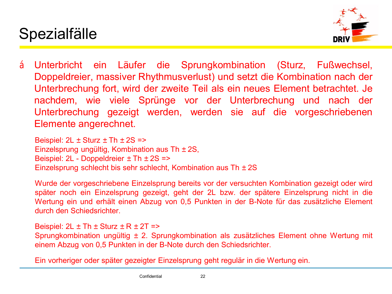



• Unterbricht ein Läufer die Sprungkombination (Sturz, Fußwechsel, Doppeldreier, massiver Rhythmusverlust) und setzt die Kombination nach der Unterbrechung fort, wird der zweite Teil als ein neues Element betrachtet. Je nachdem, wie viele Sprünge vor der Unterbrechung und nach der Unterbrechung gezeigt werden, werden sie auf die vorgeschriebenen Elemente angerechnet.

Beispiel:  $2L - Sturz - Th - 2S = >$ Einzelsprung ungültig, Kombination aus Th –2S, Beispiel: 2L - Doppeldreier – Th – 2S => Einzelsprung schlecht bis sehr schlecht, Kombination aus Th –2S

Wurde der vorgeschriebene Einzelsprung bereits vor der versuchten Kombination gezeigt oder wird später noch ein Einzelsprung gezeigt, geht der 2L bzw. der spätere Einzelsprung nicht in die Wertung ein und erhält einen Abzug von 0,5 Punkten in der B-Note für das zusätzliche Element durch den Schiedsrichter.

Beispiel:  $2L - Th - Sturz - R - 2T = >$ Sprungkombination ungültig –2. Sprungkombination als zusätzliches Element ohne Wertung mit einem Abzug von 0,5 Punkten in der B-Note durch den Schiedsrichter.

Ein vorheriger oder später gezeigter Einzelsprung geht regulär in die Wertung ein.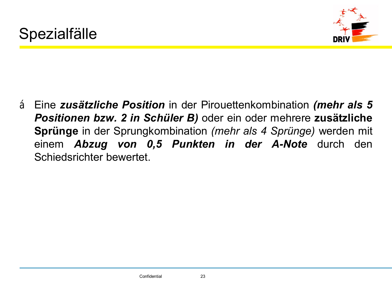

• Eine *zusätzliche Position* in der Pirouettenkombination *(mehr als 5 Positionen bzw. 2 in Schüler B)* oder ein oder mehrere **zusätzliche Sprünge** in der Sprungkombination *(mehr als 4 Sprünge)* werden mit einem *Abzug von 0,5 Punkten in der A-Note* durch den Schiedsrichter bewertet.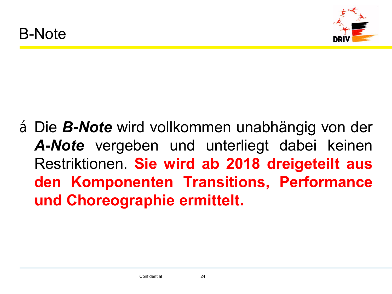

•Die *B-Note* wird vollkommen unabhängig von der *A-Note* vergeben und unterliegt dabei keinen Restriktionen. **Sie wird ab 2018 dreigeteilt aus den Komponenten Transitions, Performance und Choreographie ermittelt.**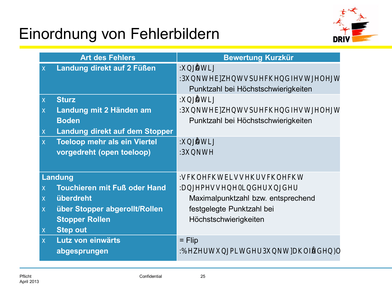

|           | <b>Art des Fehlers</b>              | <b>Bewertung Kurzkür</b>            |
|-----------|-------------------------------------|-------------------------------------|
|           | Landung direkt auf 2 Füßen          | ungültig                            |
|           |                                     | 0,5 Punkte bzw. ents                |
|           |                                     | Punktzahl bei Höchstschwierigkeiten |
|           | <b>Sturz</b>                        | ungültig                            |
|           | Landung mit 2 Händen am             | 0,5 Punkte bzw. ents                |
|           | <b>Boden</b>                        | Punktzahl bei Höchstschwierigkeiten |
|           | Landung direkt auf dem Stopper      |                                     |
|           | <b>Toeloop mehr als ein Viertel</b> | ungültig                            |
|           | vorgedreht (open toeloop)           | 0, 5 Punkte                         |
|           |                                     |                                     |
|           | Landung                             | schlecht bis sehr so                |
|           | <b>Touchieren mit Fuß oder Hand</b> | angemessene Minderur                |
| $\bullet$ | überdreht                           | Maximalpunktzahl bzw. entsprechend  |
| $\bullet$ | über Stopper abgerollt/Rollen       | festgelegte Punktzahl bei           |
|           | <b>Stopper Rollen</b>               | Höchstschwierigkeiten               |
|           | <b>Step out</b>                     |                                     |
| $\bullet$ | Lutz von einwärts                   | $=$ Flip                            |
|           | abgesprungen                        | P<br>der<br>Bewertung mit           |
|           |                                     |                                     |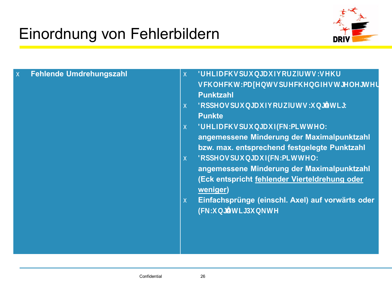

| $\bullet$ | Fehlende Umdrehungszahl | $\bullet$ | Dreifachsprung auf vorwä                         |
|-----------|-------------------------|-----------|--------------------------------------------------|
|           |                         |           | schlecht, max. entsprec                          |
|           |                         |           | <b>Punktzahl</b>                                 |
|           |                         |           | Doppelsprung auf vorwärt                         |
|           |                         |           | <b>Punkte</b>                                    |
|           |                         | $\bullet$ | Dreifachsprung auf Eck:                          |
|           |                         |           | angemessene Minderung der Maximalpunktzahl       |
|           |                         |           | bzw. max. entsprechend festgelegte Punktzahl     |
|           |                         | $\bullet$ | Doppelsprung auf Eck :                           |
|           |                         |           | angemessene Minderung der Maximalpunktzahl       |
|           |                         |           | (Eck entspricht fehlender Vierteldrehung oder    |
|           |                         |           | weniger)                                         |
|           |                         | $\bullet$ | Einfachsprünge (einschl. Axel) auf vorwärts oder |
|           |                         |           | Eck ungültig, 0,5 Punkt                          |
|           |                         |           |                                                  |
|           |                         |           |                                                  |
|           |                         |           |                                                  |
|           |                         |           |                                                  |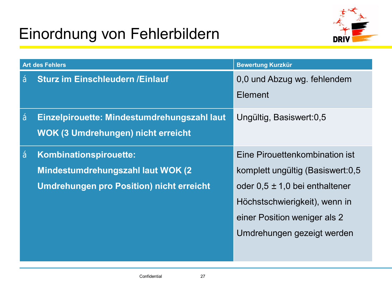

|           | <b>Art des Fehlers</b>                          | <b>Bewertung Kurzkür</b>         |  |  |  |  |  |
|-----------|-------------------------------------------------|----------------------------------|--|--|--|--|--|
|           | <b>Sturz im Einschleudern / Einlauf</b>         | 0,0 und Abzug wg. fehlendem      |  |  |  |  |  |
|           |                                                 | Element                          |  |  |  |  |  |
| $\bullet$ | Einzelpirouette: Mindestumdrehungszahl laut     | Ungültig, Basiswert:0,5          |  |  |  |  |  |
|           | <b>WOK (3 Umdrehungen) nicht erreicht</b>       |                                  |  |  |  |  |  |
| $\bullet$ | Kombinationspirouette:                          | Eine Pirouettenkombination ist   |  |  |  |  |  |
|           | Mindestumdrehungszahl laut WOK (2               | komplett ungültig (Basiswert:0,5 |  |  |  |  |  |
|           | <b>Umdrehungen pro Position) nicht erreicht</b> | oder 0,5 - 1,0 bei enthaltener   |  |  |  |  |  |
|           |                                                 | Höchstschwierigkeit), wenn in    |  |  |  |  |  |
|           |                                                 | einer Position weniger als 2     |  |  |  |  |  |
|           |                                                 | Umdrehungen gezeigt werden       |  |  |  |  |  |
|           |                                                 |                                  |  |  |  |  |  |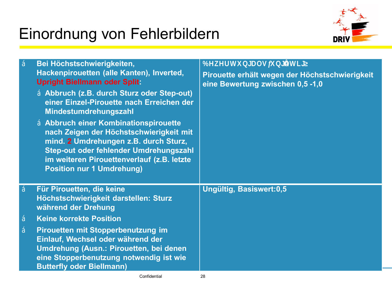

|           | Bei Höchstschwierigkeiten,<br>Hackenpirouetten (alle Kanten), Inverted,<br><b>Upright Biellmann oder Split:</b><br>· Abbruch (z.B. durch Sturz oder Step-out)<br>einer Einzel-Pirouette nach Erreichen der<br>Mindestumdrehungszahl<br>• Abbruch einer Kombinationspirouette<br>nach Zeigen der Höchstschwierigkeit mit<br>mind. 2 Umdrehungen z.B. durch Sturz,<br>Step-out oder fehlender Umdrehungszahl<br>im weiteren Pirouettenverlauf (z.B. letzte<br><b>Position nur 1 Umdrehung)</b> | Bewertung als "ungültig"<br>Pirouette erhält wegen der Höchstschwierigkeit<br>eine Bewertung zwischen 0,5 -1,0 |
|-----------|----------------------------------------------------------------------------------------------------------------------------------------------------------------------------------------------------------------------------------------------------------------------------------------------------------------------------------------------------------------------------------------------------------------------------------------------------------------------------------------------|----------------------------------------------------------------------------------------------------------------|
|           | Für Pirouetten, die keine<br>Höchstschwierigkeit darstellen: Sturz<br>während der Drehung                                                                                                                                                                                                                                                                                                                                                                                                    | Ungültig, Basiswert:0,5                                                                                        |
| $\bullet$ | <b>Keine korrekte Position</b>                                                                                                                                                                                                                                                                                                                                                                                                                                                               |                                                                                                                |
| $\bullet$ | Pirouetten mit Stopperbenutzung im<br>Einlauf, Wechsel oder während der<br>Umdrehung (Ausn.: Pirouetten, bei denen<br>eine Stopperbenutzung notwendig ist wie<br><b>Butterfly oder Biellmann)</b>                                                                                                                                                                                                                                                                                            |                                                                                                                |
|           | Confidential                                                                                                                                                                                                                                                                                                                                                                                                                                                                                 | 28                                                                                                             |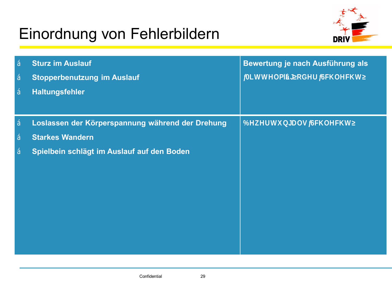

| $\bullet$ | <b>Sturz im Auslauf</b>                          | Bewertung je nach Ausführung als |  |  |  |  |
|-----------|--------------------------------------------------|----------------------------------|--|--|--|--|
| $\bullet$ | <b>Stopperbenutzung im Auslauf</b>               | "Mittelmäßig" oder               |  |  |  |  |
| $\bullet$ | <b>Haltungsfehler</b>                            |                                  |  |  |  |  |
|           |                                                  |                                  |  |  |  |  |
| $\bullet$ | Loslassen der Körperspannung während der Drehung | Bewertung als "Schl              |  |  |  |  |
| $\bullet$ | <b>Starkes Wandern</b>                           |                                  |  |  |  |  |
| $\bullet$ | Spielbein schlägt im Auslauf auf den Boden       |                                  |  |  |  |  |
|           |                                                  |                                  |  |  |  |  |
|           |                                                  |                                  |  |  |  |  |
|           |                                                  |                                  |  |  |  |  |
|           |                                                  |                                  |  |  |  |  |
|           |                                                  |                                  |  |  |  |  |
|           |                                                  |                                  |  |  |  |  |
|           |                                                  |                                  |  |  |  |  |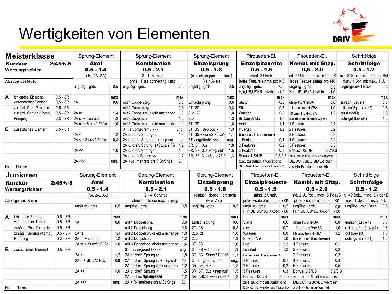# Wertigkeiten von Elementen



|                 | Meisterklasse           |               | Sprung-Element        |                             | Sprung-Element                                         |             | Sprung-Element               |             | Pirouetten-El.                   |                             | Pirouetten-El.                        |                           | Schrittfolge                         |     |
|-----------------|-------------------------|---------------|-----------------------|-----------------------------|--------------------------------------------------------|-------------|------------------------------|-------------|----------------------------------|-----------------------------|---------------------------------------|---------------------------|--------------------------------------|-----|
|                 | Kurzkür                 | $2:45 + (-5)$ | Axel                  |                             | Kombination                                            |             | <b>Einzelsprung</b>          |             | <b>Einzelpirouette</b>           |                             | Kombi. mit Sitzp.                     |                           | <b>Schrittfolge</b>                  |     |
| Wertungsrichter |                         | $0.5 - 1.4$   |                       | $0.5 - 2.1$                 |                                                        | $0.5 - 1.8$ |                              | $0.5 - 1.5$ |                                  | $0,5 - 2.0$                 |                                       | $0.5 - 1.2$               |                                      |     |
|                 |                         |               | (1A, 2A, 3A)          |                             | 2 - 4 Sprünge                                          |             | (einfach, doppelt, dreifach) |             | mind. 3 Umdr.                    |                             | ind. 2 U./Pos., max. 5 Pos./S         |                           | ax. 40 Sek., mind. 3/4 der Bah       |     |
| Abzüge bei Note |                         |               |                       | ohne 1T als connecting jump |                                                        |             | (kein Axel)                  |             | jedes Feature einmal pro KK      | jedes Feature einmal pro KK |                                       | max. 1 Spr. mit max. 1 U. |                                      |     |
|                 |                         |               | ungültig - grds.      | 0,5                         | unqültiq - qrds.                                       | 0.5         | ungültig - grds.             | 0.5         | ungültig - grds.                 | 0,5                         | unqültiq - qrds.                      | 0.5                       | ungültig/Lev el Base                 | 0.5 |
|                 |                         |               |                       |                             |                                                        |             |                              |             | H, In, UB, US>3U. +Abbr.         | $-1,0$                      | H.In.UB.US>2U.+Abbr                   | $-1,0$                    |                                      |     |
| ΙA              | fehlendes Element       | $0.5 - SR$    |                       | max                         |                                                        | max         |                              | max         |                                  | max                         |                                       | max                       |                                      | max |
|                 | v orgedrehter Toeloop   | $0, 5 - SR$   | 1A                    | 0.6                         | mit 1 Doppelsprg.                                      | 0,6         | Einfachsprung                | 0,6         | Stand                            | 0.6                         | ohne Inv/He/BA                        | 0.8                       | einfach (Level1)                     | 0.6 |
|                 | zusätzl. Pos. Pirouette | $0, 5 - SR$   |                       |                             | mit 2 Doppelsprg.                                      | 0.8         | 2T, 2S                       | 0,8         | Sitz                             | 0,7                         | 1 aus Inv/He/BA                       | 1,0                       | mittelmäßig (Level2)                 | 0,8 |
|                 | zusätzl. Sprung (Kombi) | $0,5 - SR$    | 2A ra                 | 1.4                         | mit 2 Doppelspr. direkt aneinande                      | 1.0         | 2Lo, 2F                      | 1,0         | Waaqen                           | 0.8                         | 2 aus Inv/He/BA                       | 1.2                       | gut (Level3)                         | 1,0 |
|                 | Pumping                 | $0,3 - SR$    | 2A ra + step out      | 1,2                         | mit 3 Doppelspr.                                       | 1,2         | 2 <sub>Lz</sub>              | 1,3         | <b>Broken Ankle</b>              | 1,0                         | <b>Boni auf Basiswert:</b>            |                           | sehr gut (Lev el4)                   | 1,2 |
|                 |                         |               | 2A ra + Sturz/2 Füße  | 1.0                         | mit 3 Doppelspr. direkt aneinande 1,4                  |             | 3T. 3S                       | 1.6         | Heel                             | 1.1                         | 1 Feature                             | 0.1                       |                                      |     |
| <b>B</b>        | zusätzliches Element    | $0.5 - SR$    |                       |                             | 3T ra v orgedreht / <<<                                | ung.        | $3T$ , $3S + step$ out/ <    | 1,3         | Inv erted                        | 1,2                         | 2 Features                            | 0,2                       |                                      |     |
|                 |                         |               | 2A <                  | 1.2                         | 2A o. dreif. Sprung ra                                 | 1.8         | 3T. 3S +Sturz/2 Füße/<       | 1.1         | Boni auf Basiswert:              |                             | 3 Features                            | 0.3                       |                                      |     |
|                 |                         |               | $2A < +$ Sturz/2 Füße | 0,8                         | 2A o. dreif. Sprung ra + step out                      | 1,4         | 3T v orgedreht/ <<<          | ung.        | 1 Feature                        | 0.1                         | 4 Features                            | 0.4                       |                                      |     |
|                 |                         |               |                       |                             | 2A o. dreif. Sprung ra+Sturz/2 Fü 1,2                  |             | 3R. 3F. 3Lz                  | 1.8         | 2 Features                       | 0.2                         | 5 Features                            | 0.5                       |                                      |     |
|                 |                         |               | $2A \ll$              | 1.0                         | 2A o. dreif. Sprung <                                  | 1,5         | 3R, 3F, 3Lz +step out/       | 1,5         | 3 Features                       | 0,3                         | Bonus: US/UB                          | 0.2/0.3                   |                                      |     |
|                 |                         |               |                       |                             | 2A o. dreif. Sprung <<                                 | 1,2         | 3R, 3F, 3Lz+Sturz/2F./ 1,3   |             | Bonus: US/UB                     | 0,3/0,5                     | zus. zu difficult variations:         |                           |                                      |     |
|                 |                         |               | $2A \ll $             | ung.                        | 2A + /o. mehrere dreif. Sprünge                        | 2.1         |                              |             | zus. zu difficult variation:     |                             | DE/DCH/SBC/BD werden                  |                           |                                      |     |
|                 | Nr. Name                |               |                       |                             |                                                        |             |                              |             | DE+>6/4 U. werden als Feature be |                             | als ein Feature bewertet              |                           |                                      |     |
| <b>Junioren</b> |                         |               |                       |                             |                                                        |             |                              |             |                                  |                             |                                       |                           |                                      |     |
|                 |                         |               | Sprung-Element        |                             | Sprung-Element                                         |             | Sprung-Element               |             | Pirouetten-El.                   |                             | Pirouetten-El.                        |                           | Schrittfolge                         |     |
|                 | Kurzkür                 | $2:45+/-5$    | Axel                  |                             | <b>Kombination</b>                                     |             | <b>Einzelsprung</b>          |             | <b>Einzelpirouette</b>           |                             | Kombi. mit Sitzp.                     |                           | <b>Schrittfolge</b>                  |     |
|                 | Wertungsrichter         |               | $0.5 - 1.4$           |                             | $0.5 - 2.1$                                            |             | $0.5 - 1.8$                  |             | $0.5 - 1.5$                      |                             | $0,5 - 2.0$                           |                           | $0.5 - 1.2$                          |     |
|                 |                         |               | (1A, 2A, 3A)          |                             | 2 - 4 Sprünge                                          |             | (einfach, doppelt, dreifach) |             | mind. 3 Umdr.                    |                             | ind. 2 U./Pos., max. 5 Pos./S         |                           | x. 40 Sek., mind. 3/4 der B.         |     |
|                 |                         |               |                       |                             |                                                        |             | (kein Axel)                  |             | jedes Feature einmal pro KK      |                             | jedes Feature einmal pro KK           |                           | max. 1 Spr. mit max. 1 U.            |     |
|                 | Abzüge bei Note         |               | ungültig - grds.      | 0.5                         | ohne 1T als connecting jump<br>unqültiq - grds.        | 0.5         | ungültig - grds.             | 0.5         | ungültig - grds.                 | 0.5                         | ungültig - grds.                      | 0.5                       | ungültig/Lev el Base                 | 0.5 |
|                 |                         |               |                       |                             |                                                        |             |                              |             | H, In, UB, US>3U. +Abbr. -1,0    |                             | H.In.UB.US>2U.+Abbr.                  | $-1,0$                    |                                      |     |
| A               | fehlendes Element       | $0,5 - SR$    |                       | max                         |                                                        | max         |                              | max         |                                  | max                         |                                       | max                       |                                      | max |
|                 | v orgedrehter Toeloop   | $0,5 - SR$    | 1A                    | 0.6                         | mit 1 Doppelsprg.                                      | 0,6         | Einfachsprung                | 0,6         | Stand                            | 0.6                         | ohne Inv/He/BA                        | 0.8                       | einfach (Level1)                     | 0.6 |
|                 | zusätzl. Pos. Pirouette | $0.5 - SR$    |                       |                             |                                                        | 0,8         | 2T, 2S                       | 0,8         | Sitz                             | 0.7                         | 1 aus Inv/He/BA                       | 1,0                       |                                      | 0,8 |
|                 | zusätzl. Sprung (Kombi) | $0.5 - SR$    | 2A ra                 | 1.4                         | mit 2 Doppelsprg.<br>mit 2 Doppelspr. direkt aneinande | 1,0         | 2Lo, 2F                      | 1,0         | Waagen                           | 0.8                         | 2 aus Inv/He/BA                       | 1,2                       | mittelmäßig (Level2)<br>qut (Level3) | 1,0 |
|                 |                         | $0.3 - SR$    | 2A ra + step out      | 1,2                         | mit 3 Doppelspr.                                       |             | 2Lz                          | 1,3         | <b>Broken Ankle</b>              | 1.0                         | Boni auf Basiswert:                   |                           |                                      | 1,2 |
|                 | Pumping                 |               | 2A ra + Sturz/2 Füße  | 1.0                         | mit 3 Doppelspr. direkt aneinande 1,4                  | 1,2         | 3T, 3S                       | 1,6         | Heel                             | 1.1                         | 1 Feature                             | 0,1                       | sehr gut (Level4)                    |     |
|                 | zusätzliches Element    | $0, 5 - SR$   |                       |                             | 3T ra v orgedreht / <<<                                | ung.        | 3T, 3S +step out/ $\le$      | 1,3         | Inv erted                        | 1,2                         | 2 Features                            | 0,2                       |                                      |     |
| <b>B</b>        |                         |               | 2A <                  | 1,2                         | 2A o. dreif. Sprung ra                                 | 1.8         | 3T. 3S +Sturz/2 Füße/<       | 1.1         | <b>Boni auf Basiswert:</b>       |                             | 3 Features                            | 0.3                       |                                      |     |
|                 |                         |               | 2A < + Sturz/2 Füße   | 0.8                         | 2A o. dreif. Sprung ra + step out                      | 1,4         | 3T v orgedreht/ <<<          | ung.        | 1 Feature                        | 0.1                         | 4 Features                            | 0.4                       |                                      |     |
|                 |                         |               |                       |                             | 2A o. dreif. Sprung ra+Sturz/2 Fü                      | 1,2         | 3R, 3F, 3Lz                  | 1,8         | 2 Features                       | 0.2                         | 5 Features                            | 0.5                       |                                      |     |
|                 |                         |               | $2A \ll$              | 1,0                         | 2A o. dreif. Sprung <                                  | 1,5         | 3R, 3F, 3Lz +step out/       | 1,5         | 3 Features                       | 0.3                         | Bonus: US/UB                          | 0.2/0.3                   |                                      |     |
|                 |                         |               |                       |                             | 2A o. dreft@pfiidgridial                               | 1,2         | 3R, 3803Lz+Sturz/2F./        | 1,3         | Bonus: US/UB                     |                             | 0.3/0.5 zus. zu difficult variations: |                           |                                      |     |
|                 |                         |               | $2A \ll $             | ung.                        | 2A + /o. mehrere dreif. Sprünge                        | 2,1         |                              |             | zus. zu difficult variation:     |                             | DE/DCH/SBC/BD werden                  |                           |                                      |     |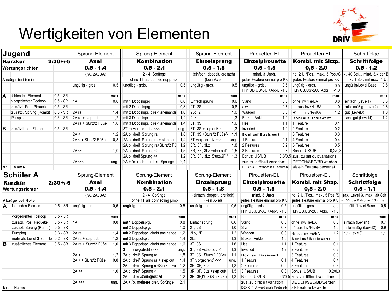# D.

# Wertigkeiten von Elementen

| ∣Jugend         |                                    | Sprung-Element |                      | Sprung-Element |                                       | Sprung-Element |                              | Pirouetten-El.               |                                 | Pirouetten-El. |                                       | Schrittfolge |                                   |     |
|-----------------|------------------------------------|----------------|----------------------|----------------|---------------------------------------|----------------|------------------------------|------------------------------|---------------------------------|----------------|---------------------------------------|--------------|-----------------------------------|-----|
|                 | <b>Kurzkür</b>                     | $2:30 + (-5)$  | Axel                 |                | <b>Kombination</b>                    |                | <b>Einzelsprung</b>          |                              | <b>Einzelpirouette</b>          |                | Kombi. mit Sitzp.                     |              | <b>Schrittfolge</b>               |     |
| Wertungsrichter |                                    |                | $0.5 - 1.4$          |                | $0.5 - 2.1$                           |                | $0.5 - 1.8$                  |                              | $0.5 - 1.5$                     |                | $0,5 - 2.0$                           |              | $0.5 - 1.2$                       |     |
|                 |                                    |                | (1A, 2A, 3A)         |                | 2 - 4 Sprünge                         |                |                              | (einfach, doppelt, dreifach) |                                 |                | ind. 2 U./Pos., max. 5 Pos./S         |              | x. 40 Sek., mind. 3/4 der B       |     |
| Abzüge bei Note |                                    |                |                      |                | ohne 1T als connecting jump           |                | (kein Axel)                  |                              | jedes Feature einmal pro KK     |                | jedes Feature einmal pro KK           |              | max. 1 Spr. mit max. 1 U.         |     |
|                 |                                    |                | ungültig - grds.     | 0,5            | ungültig - grds.                      | 0,5            | ungültig - grds.             | 0,5                          | ungültig - grds.                | 0,5            | ungültig - grds.                      | 0.5          | ungültig/Level Base               | 0,5 |
|                 |                                    |                |                      |                |                                       |                |                              |                              | H.In.UB.US>3U.+Abbr. -1.0       |                | H.In.UB.US>2U.+Abbr.                  | $-1,0$       |                                   |     |
| ΙA              | fehlendes Element                  | $0.5 - SR$     |                      | max            |                                       | max            |                              | max                          |                                 | max            |                                       | max          |                                   | max |
|                 | v orgedrehter Toeloop              | $0.5 - SR$     | 1A                   | 0.6            | mit 1 Doppelsprg.                     | 0,6            | Einfachsprung                | 0,6                          | Stand                           | 0.6            | ohne Inv/He/BA                        | 0.8          | einfach (Level1)                  | 0.6 |
|                 | zusätzl. Pos. Pirouette            | $0,5 - SR$     |                      |                | mit 2 Doppelsprg.                     | 0.8            | 2T, 2S                       | 0,8                          | Sitz                            | 0.7            | 1 aus Inv/He/BA                       | 1.0          | mittelmäßig (Level2)              | 0,8 |
|                 | zusätzl. Sprung (Kombi)            | $0.5 - SR$     | 2A ra                | 1,4            | mit 2 Doppelspr. direkt aneinande 1,0 |                | 2Lo, 2F                      | 1,0                          | Waagen                          | 0.8            | 2 aus Inv/He/BA                       | 1,2          | gut (Level3)                      | 1,0 |
|                 | Pumping                            | $0.3 - SR$     | 2A ra + step out     | 1,2            | mit 3 Doppelspr.                      | 1,2            | 2Lz                          | 1,3                          | <b>Broken Ankle</b>             | 1.0            | <b>Boni auf Basiswert:</b>            |              | sehr gut (Level4)                 | 1,2 |
|                 |                                    |                | 2A ra + Sturz/2 Füße | 1,0            | mit 3 Doppelspr. direkt aneinande 1,4 |                | 3T, 3S                       | 1,6                          | Heel                            | 1.1            | 1 Feature                             | 0,1          |                                   |     |
| lВ              | zusätzliches Element               | $0.5 - SR$     |                      |                | 3T ra v orgedreht / <<<               | ung.           | $3T$ , $3S + step$ out/ <    | 1,3                          | Inv erted                       | 1,2            | 2 Features                            | 0,2          |                                   |     |
|                 |                                    |                | 2A <                 | 1,2            | 2A o. dreif. Sprung ra                | 1.8            | 3T. 3S +Sturz/2 Füße/< 1.1   |                              | <b>Boni auf Basiswert:</b>      |                | 3 Features                            | 0,3          |                                   |     |
|                 |                                    |                | 2A < + Sturz/2 Füße  | 0.8            | 2A o. dreif. Sprung ra + step out     | 1,4            | 3T v orgedreht/ <<<          | ung.                         | 1 Feature                       | 0.1            | 4 Features                            | 0.4          |                                   |     |
|                 |                                    |                |                      |                | 2A o. dreif. Sprung ra+Sturz/2 Fü     | 1,2            | 3R, 3F, 3Lz                  | 1,8                          | 2 Features                      | 0,2            | 5 Features                            | 0.5          |                                   |     |
|                 |                                    |                | $2A \ll$             | 1,0            | 2A o. dreif. Sprung <                 | 1,5            | 3R, 3F, 3Lz +step out/       | 1,5                          | 3 Features                      | 0.3            | Bonus: US/UB                          | 0,2/0,3      |                                   |     |
|                 |                                    |                |                      |                | 2A o. dreif. Sprung <<                | 1,2            | 3R, 3F, 3Lz+Sturz/2F./ 1,3   |                              | Bonus: US/UB                    |                | 0.3/0.5 zus. zu difficult variations: |              |                                   |     |
|                 |                                    |                | 2A <<                | ung.           | 2A + /o. mehrere dreif. Sprünge       | 2,1            |                              |                              | zus. zu difficult variation:    |                | DE/DCH/SBC/BD werden                  |              |                                   |     |
| Nr.             | Name                               |                |                      |                |                                       |                |                              |                              | DE+>6/4 U. werden als Feature b |                | als ein Feature bewertet              |              |                                   |     |
|                 | <b>Schüler A</b>                   |                | Sprung-Element       |                | Sprung-Element                        |                | Sprung-Element               |                              | Pirouetten-El.                  |                | Pirouetten-El.                        |              | Schrittfolge                      |     |
|                 | Kurzkür                            | $2:30 + (-5)$  | <b>Axel</b>          |                | <b>Kombination</b>                    |                | <b>Einzelsprung</b>          |                              | <b>Einzelpirouette</b>          |                | Kombi. mit Sitzp.                     |              | <b>Schrittfolge</b>               |     |
|                 | Wertungsrichter                    |                | $0.5 - 1.4$          |                | $0.5 - 2.1$                           |                | $0.5 - 1.8$                  |                              | $0.5 - 1.5$                     |                | $0,5 - 2.0$                           |              | $0.5 - 1.1$                       |     |
|                 |                                    |                | (1A, 2A, 3A)         |                | 2 - 4 Sprünge                         |                | (einfach, doppelt, dreifach) |                              | mind. 3 Umdr.                   |                | ind. 2 U./Pos., max. 5 Pos./S         |              | 1ax. Level 3. max. 30 Sek         |     |
|                 | Abzüge bei Note                    |                |                      |                | ohne 1T als connecting jump           |                | (kein Axel)                  |                              | jedes Feature einmal pro KK     |                | jedes Feature einmal pro KK           |              | nd. 3/4 der Bahn, max. 1Spr. max. |     |
|                 | A fehlendes Element                | $0.5 - SR$     | ungültig - grds.     | 0.5            | ungültig - grds.                      | 0.5            | ungültig - grds.             | 0,5                          | ungültig - grds.                | 0,5            | ungültig - grds.                      | 0,5          | ungültig/Lev el Base              | 0,5 |
|                 |                                    |                |                      |                |                                       |                |                              |                              | H.In.UB.US>3U.+Abbr -1.0        |                | H.In.UB.US>2U.+Abbr.                  | $-1,0$       |                                   |     |
|                 | v orgedrehter Toeloop              | $0.5 - SR$     |                      | max            |                                       | max            |                              | max                          |                                 | max            |                                       | max          |                                   | max |
|                 | zusätzl. Pos. Pirouette            | $0.5 - SR$     | 1A                   | 0,8            | mit 1 Doppelsprg.                     | 0,8            | Einfachsprung                | 0,6                          | Stand                           | 0,6            | ohne Inv/He/BA                        | 0,8          | einfach (Level1)                  | 0.7 |
|                 | zusätzl. Sprung (Kombi)            | $0.5 - SR$     |                      |                | mit 2 Doppelsprg.                     | 1,0            | 2T, 2S                       | 1,0                          | Sitz                            | 0.7            | 1 aus Inv/He/BA                       | 1,0          | mittelmäßig (Level2)              | 0,9 |
|                 | Pumping                            | $0.3 - SR$     | 2A ra                | 1.4            | mit 2 Doppelspr. direkt aneinande     | 1,2            | 2Lo, 2F                      | 1,2                          | Waagen                          | 0,8            | 2 aus Inv/He/BA                       | 1,2          | gut (Level3)                      | 1,1 |
|                 | mehr als Level 3 Schritte 0,2 - SR |                | $2A$ ra + step out   | 1,2            | mit 3 Doppelspr.                      | 1,4            | 2Lz                          | 1,3                          | <b>Broken Ankle</b>             | 1,0            | <b>Boni auf Basiswert:</b>            |              |                                   |     |
| B               | zusätzliches Element               | $0.5 - SR$     | 2A ra + Sturz/2 Füße | 1,0            | mit 3 Doppelspr. direkt aneinande 1,6 |                | 3T, 3S                       | 1,6                          | Heel                            | 1,1            | 1 Feature                             | 0,1          |                                   |     |
|                 |                                    |                |                      |                | 3T ra v orgedreht / <<<               | ung.           | $3T$ , $3S$ +step out/ <     | 1,3                          | Inv erted                       | 1.2            | 2 Features                            | 0,2          |                                   |     |
|                 |                                    |                | 2A <                 | 1,2            | 2A o. dreif. Sprung ra                | 1.8            | 3T, 3S +Sturz/2 Füße/<       | 1.1                          | <b>Boni auf Basiswert:</b>      |                | 3 Features                            | 0.3          |                                   |     |
|                 |                                    |                | 2A < + Sturz/2 Füße  | 0.8            | 2A o. dreif. Sprung ra + step out     | 1,4            | 3T v orgedreht/ <<<          | ung.                         | 1 Feature                       | 0.1            | 4 Features                            | 0.4          |                                   |     |
|                 |                                    |                |                      |                | 2A o. dreif. Sprung ra+Sturz/2 Fü 1,2 |                | 3R, 3F, 3Lz                  | 1.8                          | 2 Features                      | 0.2            | 5 Features                            | 0.5          |                                   |     |
|                 |                                    |                | $2A \ll$             | 1,0            | 2A o. dreif. Sprung <                 | 1,5            | 3R, 3F, 3Lz +step out/       | 1,5                          | 3 Features                      | 0.3            | Bonus: US/UB                          | 0.2/0.3      |                                   |     |
|                 |                                    |                |                      |                | 2A o. dreif Sprufrigential            | 1,2            | 3R, 3F3 8Lz+Sturz/2F./       | 1,3                          | Bonus: US/UB                    |                | 0,3/0,5 zus. zu difficult variations: |              |                                   |     |
|                 |                                    |                | 2A <<                | ung            | 2A + /o. mehrere dreif. Sprünge       | 2,1            |                              |                              | zus. zu difficult variation:    |                | DE/DCH/SBC/BD werden                  |              |                                   |     |
|                 | Name                               |                |                      |                |                                       |                |                              |                              | DE+>6/4 U. werden als Feature b |                | als Feature bewertet                  |              |                                   |     |
| Nr.             |                                    |                |                      |                |                                       |                |                              |                              |                                 |                |                                       |              |                                   |     |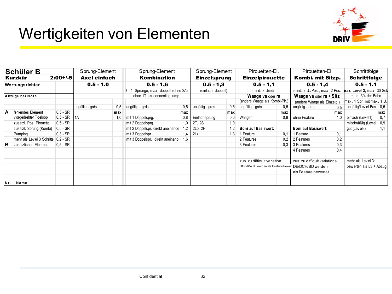# Wertigkeiten von Elementen



| Schüler B       |                                      | Sprung-Element |                  | Sprung-Element                        | Sprung-Element                    |                    | Pirouetten-El.      |               | Pirouetten-El.                                       |                              | Schrittfolge                  |                           |                           |     |
|-----------------|--------------------------------------|----------------|------------------|---------------------------------------|-----------------------------------|--------------------|---------------------|---------------|------------------------------------------------------|------------------------------|-------------------------------|---------------------------|---------------------------|-----|
|                 | Kurzkür                              | $2:00+/5$      | Axel einfach     |                                       | Kombination                       |                    | <b>Einzelsprung</b> |               | <b>Einzelpirouette</b>                               |                              | Kombi. mit Sitzp.             |                           | <b>Schrittfolge</b>       |     |
| Wertungsrichter |                                      |                |                  | $0.5 - 1.0$                           | $0.5 - 1,6$                       |                    | $0.5 - 1.3$         |               | $0.5 - 1.1$                                          |                              | $0.5 - 1.4$                   |                           | $0.5 - 1.1$               |     |
|                 |                                      |                |                  | 2 - 4 Sprünge, max. doppelt (ohne 2A) |                                   | (einfach, doppelt) |                     | mind. 3 Umdr. |                                                      | mind. 2 U./Pos., max. 2 Pos. |                               | hax. Level 3, max. 30 Sek |                           |     |
|                 | Abzüge bei Note                      |                |                  |                                       | ohne 1T als connecting jump       |                    |                     |               |                                                      | Waage va oder ra             | Waage va oder ra + Sitz,      |                           | mind. 3/4 der Bahn        |     |
|                 |                                      |                |                  |                                       |                                   |                    |                     |               | (andere Waage als Kombi-Pir.)                        |                              | (andere Waage als Einzelp.)   |                           | max. 1 Spr. mit max. 1 U. |     |
|                 |                                      |                | ungültig - grds. | 0,5                                   | ungültig - grds.                  | 0.5                | ungültig - grds.    | 0,5           | ungültig - grds.                                     | 0,5                          | ungültig - grds.              | 0.5                       | ungültig/Level Bas 0,5    |     |
| A               | fehlendes Element                    | $0.5 - SR$     |                  | max                                   |                                   | max                |                     | max           |                                                      | max                          |                               | max                       |                           | max |
|                 | v orgedrehter Toeloop                | $0,5 - SR$     | l 1 A            | 1,0                                   | mit 1 Doppelsprg.                 | 0,8                | Einfachsprung       | 0,6           | Waagen                                               | 0,8                          | ohne Feature                  | 1,0                       | einfach (Level1)          | 0.7 |
|                 | zusätzl. Pos. Pirouette              | $0.5 - SR$     |                  |                                       | mit 2 Doppelsprg.                 | 1,0                | 2T, 2S              | 1,0           |                                                      |                              |                               |                           | mittelmäßig (Level        | 0.9 |
|                 | zusätzl. Sprung (Kombi)              | $ 0.5 - SR$    |                  |                                       | mit 2 Doppelspr. direkt aneinande | 1,2                | 2Lo, 2F             | 1,2           | <b>Boni auf Basiswert:</b>                           |                              | <b>Boni auf Basiswert:</b>    |                           | gut (Level3)              |     |
|                 | Pumping                              | $0.3 - SR$     |                  |                                       | mit 3 Doppelspr.                  | .4                 | 2Lz                 | 1,3           | 1 Feature                                            | 0.1                          | l Feature                     | 0,1                       |                           |     |
|                 | mehr als Level 3 Schritte   0.2 - SR |                |                  |                                       | mit 3 Doppelspr. direkt aneinande | 1,6                |                     |               | 2 Features                                           | 0.2                          | 2 Features                    | 0,2                       |                           |     |
| lB.             | zusätzliches Element                 | $0.5 - SR$     |                  |                                       |                                   |                    |                     |               | 3 Features                                           | 0,3                          | 3 Features                    | 0,3                       |                           |     |
|                 |                                      |                |                  |                                       |                                   |                    |                     |               |                                                      |                              | 4 Features                    | 0,4                       |                           |     |
|                 |                                      |                |                  |                                       |                                   |                    |                     |               | zus, zu difficult variation:                         |                              | zus. zu difficult variations: |                           | mehr als Level 3:         |     |
|                 |                                      |                |                  |                                       |                                   |                    |                     |               | DE+>6/4 U. werden als Feature bewer DE/DCH/BD werden |                              |                               |                           | bew erten als L3 + Abzug  |     |
|                 |                                      |                |                  |                                       |                                   |                    |                     |               |                                                      |                              | als Feature bewertet          |                           |                           |     |
| Nr.             | Name                                 |                |                  |                                       |                                   |                    |                     |               |                                                      |                              |                               |                           |                           |     |